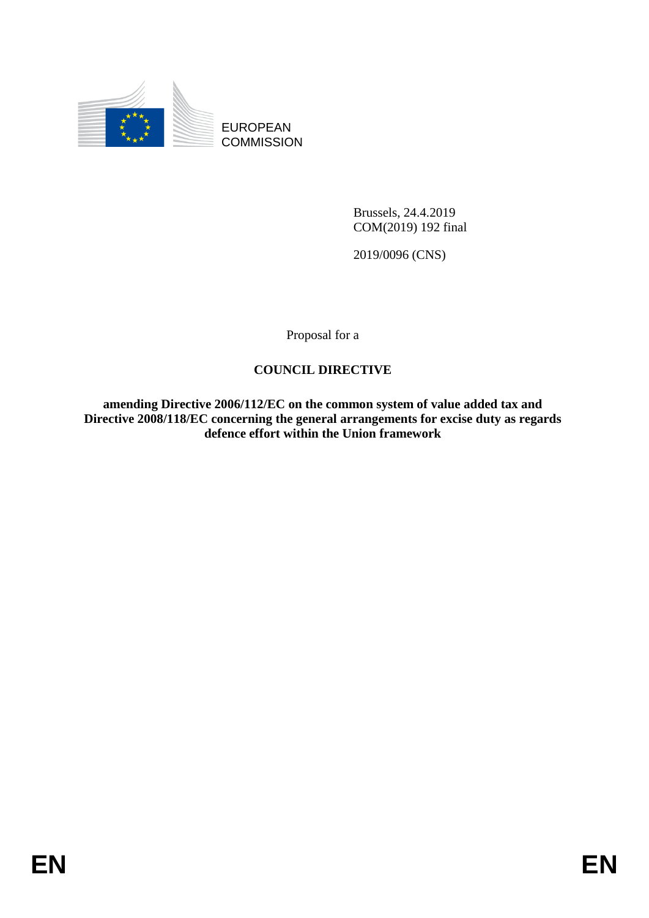

EUROPEAN **COMMISSION** 

> Brussels, 24.4.2019 COM(2019) 192 final

2019/0096 (CNS)

Proposal for a

## **COUNCIL DIRECTIVE**

**amending Directive 2006/112/EC on the common system of value added tax and Directive 2008/118/EC concerning the general arrangements for excise duty as regards defence effort within the Union framework**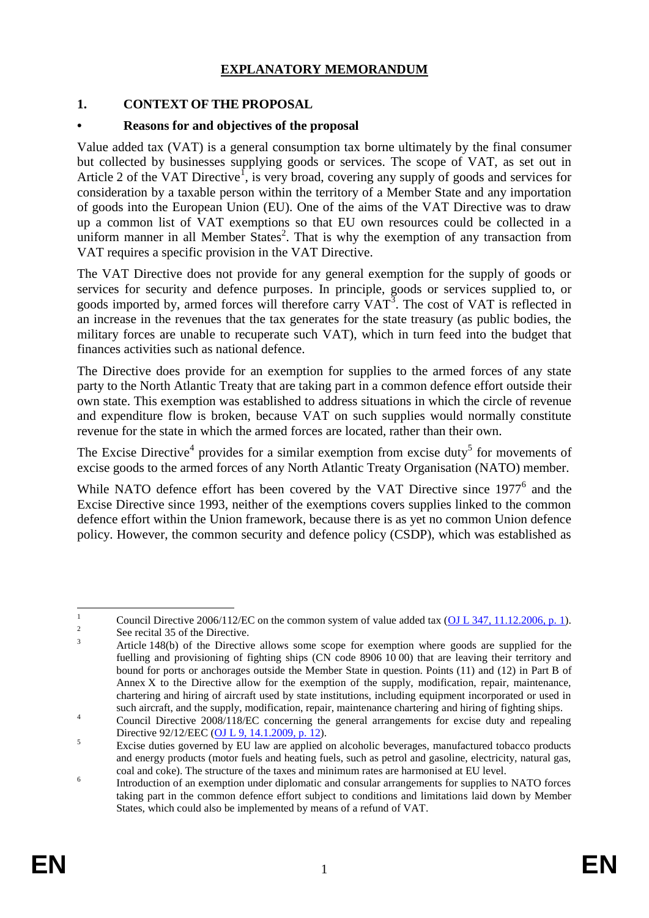## **EXPLANATORY MEMORANDUM**

### **1. CONTEXT OF THE PROPOSAL**

### **• Reasons for and objectives of the proposal**

Value added tax (VAT) is a general consumption tax borne ultimately by the final consumer but collected by businesses supplying goods or services. The scope of VAT, as set out in Article 2 of the VAT Directive<sup>1</sup>, is very broad, covering any supply of goods and services for consideration by a taxable person within the territory of a Member State and any importation of goods into the European Union (EU). One of the aims of the VAT Directive was to draw up a common list of VAT exemptions so that EU own resources could be collected in a uniform manner in all Member States<sup>2</sup>. That is why the exemption of any transaction from VAT requires a specific provision in the VAT Directive.

The VAT Directive does not provide for any general exemption for the supply of goods or services for security and defence purposes. In principle, goods or services supplied to, or goods imported by, armed forces will therefore carry VAT<sup>3</sup>. The cost of VAT is reflected in an increase in the revenues that the tax generates for the state treasury (as public bodies, the military forces are unable to recuperate such VAT), which in turn feed into the budget that finances activities such as national defence.

The Directive does provide for an exemption for supplies to the armed forces of any state party to the North Atlantic Treaty that are taking part in a common defence effort outside their own state. This exemption was established to address situations in which the circle of revenue and expenditure flow is broken, because VAT on such supplies would normally constitute revenue for the state in which the armed forces are located, rather than their own.

The Excise Directive<sup>4</sup> provides for a similar exemption from excise duty<sup>5</sup> for movements of excise goods to the armed forces of any North Atlantic Treaty Organisation (NATO) member.

While NATO defence effort has been covered by the VAT Directive since  $1977<sup>6</sup>$  and the Excise Directive since 1993, neither of the exemptions covers supplies linked to the common defence effort within the Union framework, because there is as yet no common Union defence policy. However, the common security and defence policy (CSDP), which was established as

 $\overline{1}$ Council Directive 2006/112/EC on the common system of value added tax (OJ L [347, 11.12.2006, p.](http://eur-lex.europa.eu/legal-content/EN/TXT/PDF/?uri=CELEX:02006L0112-20160601&qid=1494999281011&from=EN) 1). 2

See recital 35 of the Directive.

<sup>&</sup>lt;sup>3</sup> Article 148(b) of the Directive allows some scope for exemption where goods are supplied for the fuelling and provisioning of fighting ships (CN code 8906 10 00) that are leaving their territory and bound for ports or anchorages outside the Member State in question. Points (11) and (12) in Part B of Annex X to the Directive allow for the exemption of the supply, modification, repair, maintenance, chartering and hiring of aircraft used by state institutions, including equipment incorporated or used in such aircraft, and the supply, modification, repair, maintenance chartering and hiring of fighting ships.

<sup>&</sup>lt;sup>4</sup> Council Directive 2008/118/EC concerning the general arrangements for excise duty and repealing Directive 92/12/EEC (OJ L [9, 14.1.2009, p.](https://eur-lex.europa.eu/legal-content/EN/TXT/PDF/?uri=CELEX:32008L0118&qid=1543215941175&from=EN) 12).

<sup>&</sup>lt;sup>5</sup> Excise duties governed by EU law are applied on alcoholic beverages, manufactured tobacco products and energy products (motor fuels and heating fuels, such as petrol and gasoline, electricity, natural gas, coal and coke). The structure of the taxes and minimum rates are harmonised at EU level.

<sup>6</sup> Introduction of an exemption under diplomatic and consular arrangements for supplies to NATO forces taking part in the common defence effort subject to conditions and limitations laid down by Member States, which could also be implemented by means of a refund of VAT.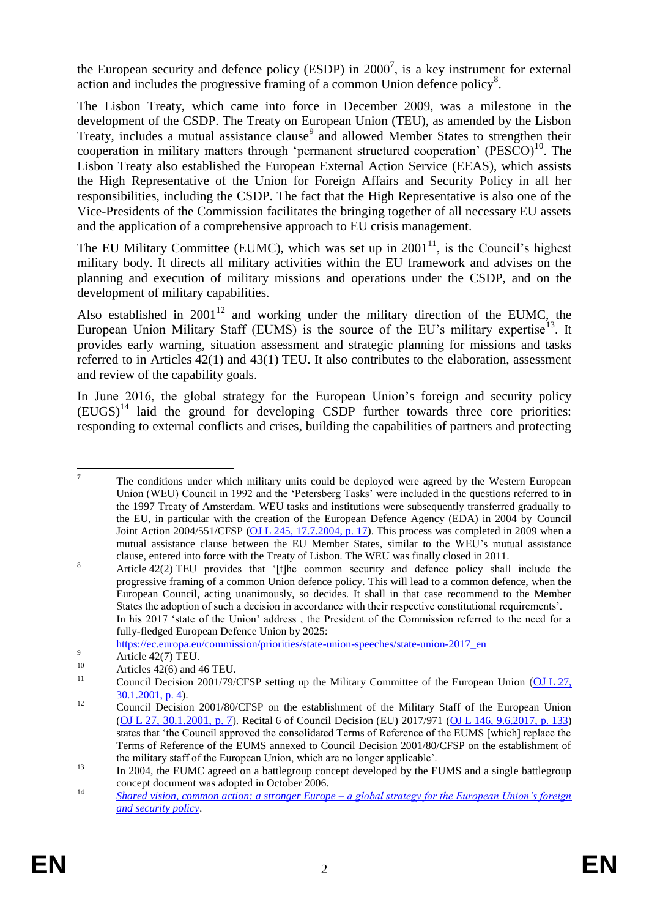the European security and defence policy (ESDP) in  $2000^7$ , is a key instrument for external action and includes the progressive framing of a common Union defence policy<sup>8</sup>.

The Lisbon Treaty, which came into force in December 2009, was a milestone in the development of the CSDP. The Treaty on European Union (TEU), as amended by the Lisbon Treaty, includes a mutual assistance clause<sup>9</sup> and allowed Member States to strengthen their cooperation in military matters through 'permanent structured cooperation' (PESCO)<sup>10</sup>. The Lisbon Treaty also established the European External Action Service (EEAS), which assists the High Representative of the Union for Foreign Affairs and Security Policy in all her responsibilities, including the CSDP. The fact that the High Representative is also one of the Vice-Presidents of the Commission facilitates the bringing together of all necessary EU assets and the application of a comprehensive approach to EU crisis management.

The EU Military Committee (EUMC), which was set up in  $2001<sup>11</sup>$ , is the Council's highest military body. It directs all military activities within the EU framework and advises on the planning and execution of military missions and operations under the CSDP, and on the development of military capabilities.

Also established in  $2001^{12}$  and working under the military direction of the EUMC, the European Union Military Staff (EUMS) is the source of the EU's military expertise<sup>13</sup>. It provides early warning, situation assessment and strategic planning for missions and tasks referred to in Articles 42(1) and 43(1) TEU. It also contributes to the elaboration, assessment and review of the capability goals.

In June 2016, the global strategy for the European Union's foreign and security policy  $(EUGS)^{14}$  laid the ground for developing CSDP further towards three core priorities: responding to external conflicts and crises, building the capabilities of partners and protecting

fully-fledged European Defence Union by 2025:

[https://ec.europa.eu/commission/priorities/state-union-speeches/state-union-2017\\_en](https://ec.europa.eu/commission/priorities/state-union-speeches/state-union-2017_en)

 $\overline{7}$ <sup>7</sup> The conditions under which military units could be deployed were agreed by the Western European Union (WEU) Council in 1992 and the 'Petersberg Tasks' were included in the questions referred to in the 1997 Treaty of Amsterdam. WEU tasks and institutions were subsequently transferred gradually to the EU, in particular with the creation of the European Defence Agency (EDA) in 2004 by Council Joint Action 2004/551/CFSP (OJ L [245, 17.7.2004, p.](https://eur-lex.europa.eu/legal-content/EN/TXT/PDF/?uri=CELEX:32004E0551&qid=1543216581106&from=EN) 17). This process was completed in 2009 when a mutual assistance clause between the EU Member States, similar to the WEU's mutual assistance clause, entered into force with the Treaty of Lisbon. The WEU was finally closed in 2011.

<sup>&</sup>lt;sup>8</sup> Article 42(2) TEU provides that '[t]he common security and defence policy shall include the progressive framing of a common Union defence policy. This will lead to a common defence, when the European Council, acting unanimously, so decides. It shall in that case recommend to the Member States the adoption of such a decision in accordance with their respective constitutional requirements'. In his 2017 'state of the Union' address , the President of the Commission referred to the need for a

 $\overline{\text{Article 42(7) TEU}}$ .

 $10^{10}$  Articles 42(6) and 46 TEU.

Council Decision 2001/79/CFSP setting up the Military Committee of the European Union [\(OJ](https://eur-lex.europa.eu/legal-content/EN/TXT/PDF/?uri=CELEX:32001D0079&qid=1544794805273&from=EN) L 27, [30.1.2001, p.](https://eur-lex.europa.eu/legal-content/EN/TXT/PDF/?uri=CELEX:32001D0079&qid=1544794805273&from=EN) 4).

<sup>&</sup>lt;sup>12</sup> Council Decision 2001/80/CFSP on the establishment of the Military Staff of the European Union (OJ L [27, 30.1.2001, p.](https://eur-lex.europa.eu/legal-content/EN/TXT/PDF/?uri=CELEX:32001D0080&qid=1544794670949&from=EN) 7). Recital 6 of Council Decision (EU) 2017/971 (OJ L [146, 9.6.2017, p.](https://eur-lex.europa.eu/legal-content/EN/TXT/?uri=uriserv:OJ.L_.2017.146.01.0133.01.ENG&toc=OJ:L:2017:146:TOC) 133) states that 'the Council approved the consolidated Terms of Reference of the EUMS [which] replace the Terms of Reference of the EUMS annexed to Council Decision 2001/80/CFSP on the establishment of the military staff of the European Union, which are no longer applicable'.

<sup>&</sup>lt;sup>13</sup> In 2004, the EUMC agreed on a battlegroup concept developed by the EUMS and a single battlegroup concept document was adopted in October 2006.

<sup>14</sup> *[Shared vision, common action: a stronger Europe –](https://cdn5-eeas.fpfis.tech.ec.europa.eu/cdn/farfuture/2rOF-JdAS8j-pKkhPt8txwI5V51A5EXAOrHQNUfwB9M/mtime:1481797831/sites/eeas/files/eugs_review_web_0.pdf) a global strategy for the European Union's foreign [and security policy](https://cdn5-eeas.fpfis.tech.ec.europa.eu/cdn/farfuture/2rOF-JdAS8j-pKkhPt8txwI5V51A5EXAOrHQNUfwB9M/mtime:1481797831/sites/eeas/files/eugs_review_web_0.pdf)*.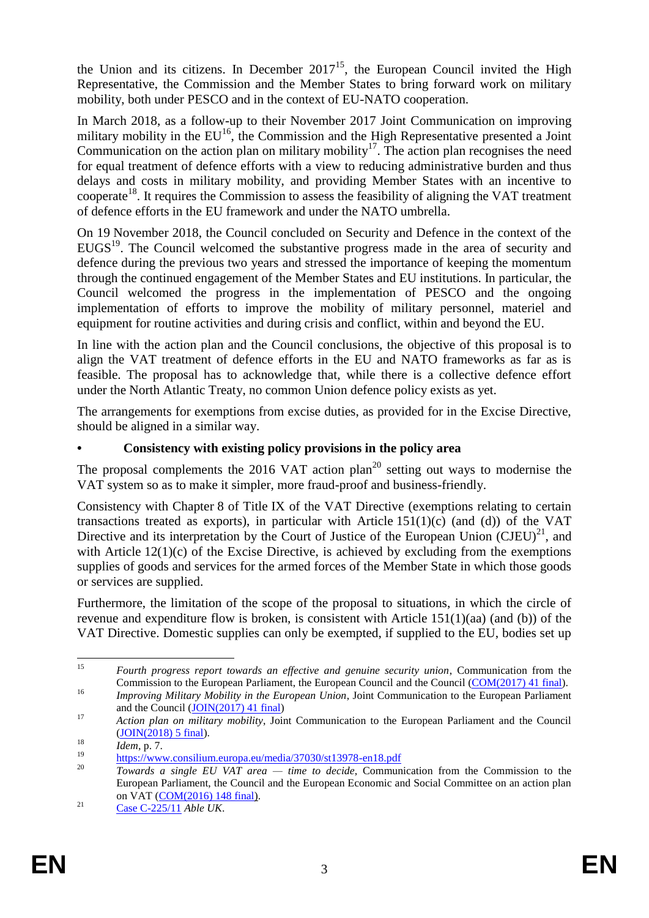the Union and its citizens. In December  $2017<sup>15</sup>$ , the European Council invited the High Representative, the Commission and the Member States to bring forward work on military mobility, both under PESCO and in the context of EU-NATO cooperation.

In March 2018, as a follow-up to their November 2017 Joint Communication on improving military mobility in the  $EU^{16}$ , the Commission and the High Representative presented a Joint Communication on the action plan on military mobility<sup>17</sup>. The action plan recognises the need for equal treatment of defence efforts with a view to reducing administrative burden and thus delays and costs in military mobility, and providing Member States with an incentive to cooperate<sup>18</sup>. It requires the Commission to assess the feasibility of aligning the VAT treatment of defence efforts in the EU framework and under the NATO umbrella.

On 19 November 2018, the Council concluded on Security and Defence in the context of the  $EUGS<sup>19</sup>$ . The Council welcomed the substantive progress made in the area of security and defence during the previous two years and stressed the importance of keeping the momentum through the continued engagement of the Member States and EU institutions. In particular, the Council welcomed the progress in the implementation of PESCO and the ongoing implementation of efforts to improve the mobility of military personnel, materiel and equipment for routine activities and during crisis and conflict, within and beyond the EU.

In line with the action plan and the Council conclusions, the objective of this proposal is to align the VAT treatment of defence efforts in the EU and NATO frameworks as far as is feasible. The proposal has to acknowledge that, while there is a collective defence effort under the North Atlantic Treaty, no common Union defence policy exists as yet.

The arrangements for exemptions from excise duties, as provided for in the Excise Directive, should be aligned in a similar way.

## **• Consistency with existing policy provisions in the policy area**

The proposal complements the 2016 VAT action plan<sup>20</sup> setting out ways to modernise the VAT system so as to make it simpler, more fraud-proof and business-friendly.

Consistency with Chapter 8 of Title IX of the VAT Directive (exemptions relating to certain transactions treated as exports), in particular with Article  $151(1)(c)$  (and (d)) of the VAT Directive and its interpretation by the Court of Justice of the European Union  $(CJEU)^{21}$ , and with Article 12(1)(c) of the Excise Directive, is achieved by excluding from the exemptions supplies of goods and services for the armed forces of the Member State in which those goods or services are supplied.

Furthermore, the limitation of the scope of the proposal to situations, in which the circle of revenue and expenditure flow is broken, is consistent with Article 151(1)(aa) (and (b)) of the VAT Directive. Domestic supplies can only be exempted, if supplied to the EU, bodies set up

<sup>15</sup> <sup>15</sup> *Fourth progress report towards an effective and genuine security union*, Communication from the Commission to the European Parliament, the European Council and the Council [\(COM\(2017\)](https://eur-lex.europa.eu/legal-content/EN/TXT/PDF/?uri=CELEX:52017DC0041&qid=1541759305904&from=EN) 41 final). <sup>16</sup> *Improving Military Mobility in the European Union*, Joint Communication to the European Parliament

and the Council [\(JOIN\(2017\) 41 final\)](http://www.ipex.eu/IPEXL-WEB/dossier/document/JOIN20170041.do)

<sup>17</sup> *Action plan on military mobility*, Joint Communication to the European Parliament and the Council [\(JOIN\(2018\) 5 final\)](https://ec.europa.eu/transport/sites/transport/files/2018-military_mobility_action_plan.pdf).

<sup>18</sup> *Idem*, p. 7.

 $\frac{19}{20}$  <https://www.consilium.europa.eu/media/37030/st13978-en18.pdf>

<sup>20</sup> *Towards a single EU VAT area — time to decide*, Communication from the Commission to the European Parliament, the Council and the European Economic and Social Committee on an action plan on VAT [\(COM\(2016\) 148 final\)](http://eur-lex.europa.eu/legal-content/EN/TXT/PDF/?uri=CELEX:52016DC0148&from=EN).

<sup>21</sup> [Case C-225/11](http://curia.europa.eu/juris/liste.jsf?num=C-225/11&language=EN) *Able UK*.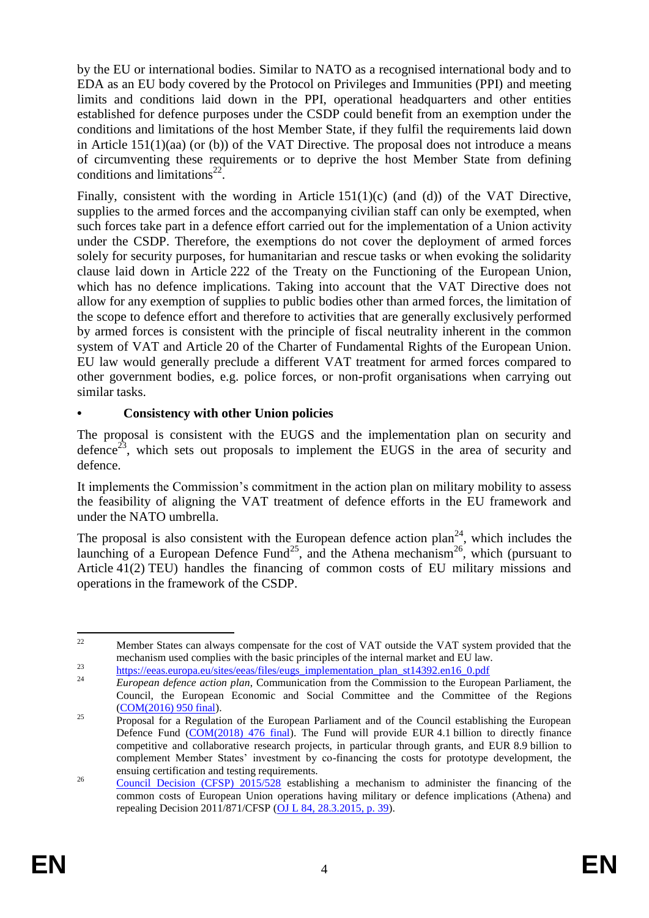by the EU or international bodies. Similar to NATO as a recognised international body and to EDA as an EU body covered by the Protocol on Privileges and Immunities (PPI) and meeting limits and conditions laid down in the PPI, operational headquarters and other entities established for defence purposes under the CSDP could benefit from an exemption under the conditions and limitations of the host Member State, if they fulfil the requirements laid down in Article 151(1)(aa) (or (b)) of the VAT Directive. The proposal does not introduce a means of circumventing these requirements or to deprive the host Member State from defining conditions and limitations<sup>22</sup>.

Finally, consistent with the wording in Article 151(1)(c) (and (d)) of the VAT Directive, supplies to the armed forces and the accompanying civilian staff can only be exempted, when such forces take part in a defence effort carried out for the implementation of a Union activity under the CSDP. Therefore, the exemptions do not cover the deployment of armed forces solely for security purposes, for humanitarian and rescue tasks or when evoking the solidarity clause laid down in Article 222 of the Treaty on the Functioning of the European Union, which has no defence implications. Taking into account that the VAT Directive does not allow for any exemption of supplies to public bodies other than armed forces, the limitation of the scope to defence effort and therefore to activities that are generally exclusively performed by armed forces is consistent with the principle of fiscal neutrality inherent in the common system of VAT and Article 20 of the Charter of Fundamental Rights of the European Union. EU law would generally preclude a different VAT treatment for armed forces compared to other government bodies, e.g. police forces, or non-profit organisations when carrying out similar tasks.

## **• Consistency with other Union policies**

The proposal is consistent with the EUGS and the implementation plan on security and defence<sup>23</sup>, which sets out proposals to implement the EUGS in the area of security and defence.

It implements the Commission's commitment in the action plan on military mobility to assess the feasibility of aligning the VAT treatment of defence efforts in the EU framework and under the NATO umbrella.

The proposal is also consistent with the European defence action  $plan^{24}$ , which includes the launching of a European Defence Fund<sup>25</sup>, and the Athena mechanism<sup>26</sup>, which (pursuant to Article 41(2) TEU) handles the financing of common costs of EU military missions and operations in the framework of the CSDP.

 $\mathfrak{D}$ <sup>22</sup> Member States can always compensate for the cost of VAT outside the VAT system provided that the mechanism used complies with the basic principles of the internal market and EU law.

<sup>&</sup>lt;sup>23</sup> [https://eeas.europa.eu/sites/eeas/files/eugs\\_implementation\\_plan\\_st14392.en16\\_0.pdf](https://eeas.europa.eu/sites/eeas/files/eugs_implementation_plan_st14392.en16_0.pdf)

<sup>24</sup> *European defence action plan*, Communication from the Commission to the European Parliament, the Council, the European Economic and Social Committee and the Committee of the Regions [\(COM\(2016\) 950 final\)](https://eur-lex.europa.eu/legal-content/EN/TXT/?uri=COM:2016:950:FIN).

<sup>&</sup>lt;sup>25</sup> Proposal for a Regulation of the European Parliament and of the Council establishing the European Defence Fund [\(COM\(2018\) 476 final\)](https://eur-lex.europa.eu/legal-content/EN/TXT/?uri=CELEX%3A52018PC0476). The Fund will provide EUR 4.1 billion to directly finance competitive and collaborative research projects, in particular through grants, and EUR 8.9 billion to complement Member States' investment by co-financing the costs for prototype development, the ensuing certification and testing requirements.

<sup>&</sup>lt;sup>26</sup> [Council Decision \(CFSP\) 2015/528](https://eur-lex.europa.eu/legal-content/EN/TXT/PDF/?uri=OJ:JOL_2015_084_R_0006&qid=1427824153272&from=EN) establishing a mechanism to administer the financing of the common costs of European Union operations having military or defence implications (Athena) and repealing Decision 2011/871/CFSP (OJ L [84, 28.3.2015, p.](https://eur-lex.europa.eu/legal-content/EN/TXT/PDF/?uri=CELEX:32015D0528&qid=1548139641508&from=EN) 39).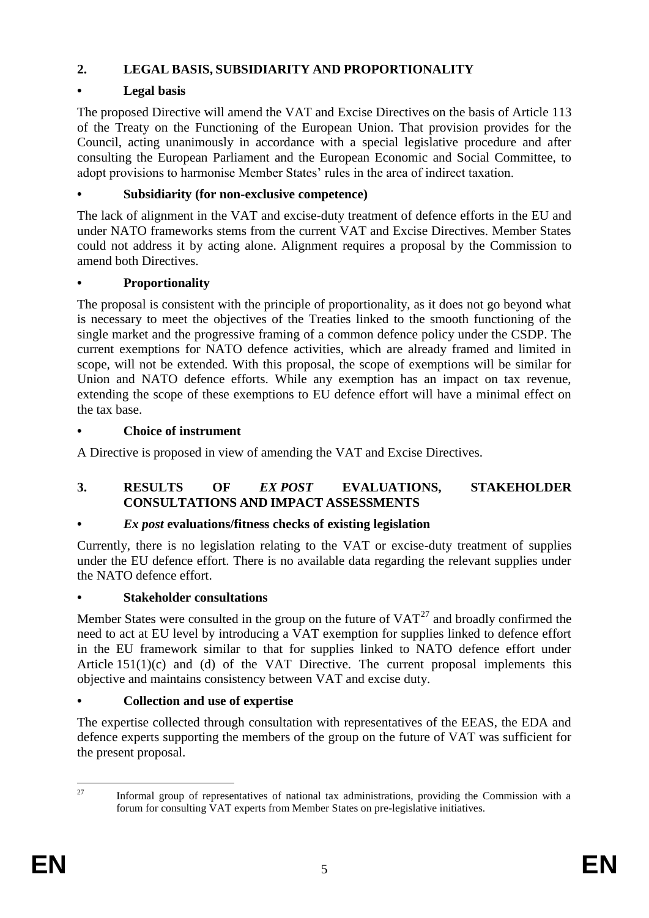## **2. LEGAL BASIS, SUBSIDIARITY AND PROPORTIONALITY**

# **• Legal basis**

The proposed Directive will amend the VAT and Excise Directives on the basis of Article 113 of the Treaty on the Functioning of the European Union. That provision provides for the Council, acting unanimously in accordance with a special legislative procedure and after consulting the European Parliament and the European Economic and Social Committee, to adopt provisions to harmonise Member States' rules in the area of indirect taxation.

# **• Subsidiarity (for non-exclusive competence)**

The lack of alignment in the VAT and excise-duty treatment of defence efforts in the EU and under NATO frameworks stems from the current VAT and Excise Directives. Member States could not address it by acting alone. Alignment requires a proposal by the Commission to amend both Directives.

# **• Proportionality**

The proposal is consistent with the principle of proportionality, as it does not go beyond what is necessary to meet the objectives of the Treaties linked to the smooth functioning of the single market and the progressive framing of a common defence policy under the CSDP. The current exemptions for NATO defence activities, which are already framed and limited in scope, will not be extended. With this proposal, the scope of exemptions will be similar for Union and NATO defence efforts. While any exemption has an impact on tax revenue, extending the scope of these exemptions to EU defence effort will have a minimal effect on the tax base.

# **• Choice of instrument**

A Directive is proposed in view of amending the VAT and Excise Directives.

## **3. RESULTS OF** *EX POST* **EVALUATIONS, STAKEHOLDER CONSULTATIONS AND IMPACT ASSESSMENTS**

# **•** *Ex post* **evaluations/fitness checks of existing legislation**

Currently, there is no legislation relating to the VAT or excise-duty treatment of supplies under the EU defence effort. There is no available data regarding the relevant supplies under the NATO defence effort.

# **• Stakeholder consultations**

Member States were consulted in the group on the future of  $VAT<sup>27</sup>$  and broadly confirmed the need to act at EU level by introducing a VAT exemption for supplies linked to defence effort in the EU framework similar to that for supplies linked to NATO defence effort under Article  $151(1)(c)$  and (d) of the VAT Directive. The current proposal implements this objective and maintains consistency between VAT and excise duty.

# **• Collection and use of expertise**

The expertise collected through consultation with representatives of the EEAS, the EDA and defence experts supporting the members of the group on the future of VAT was sufficient for the present proposal.

 $27$ Informal group of representatives of national tax administrations, providing the Commission with a forum for consulting VAT experts from Member States on pre-legislative initiatives.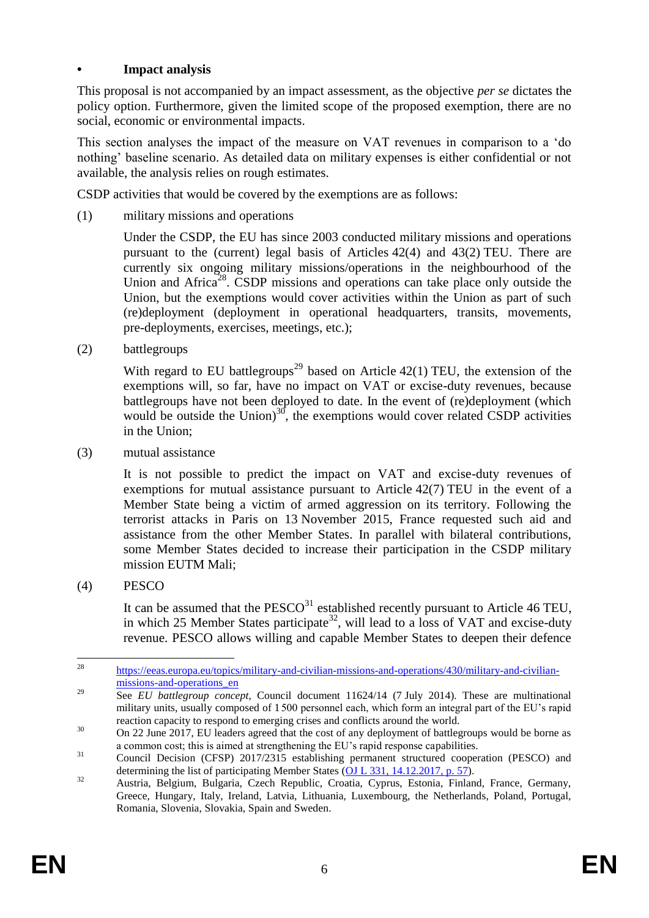### **• Impact analysis**

This proposal is not accompanied by an impact assessment, as the objective *per se* dictates the policy option. Furthermore, given the limited scope of the proposed exemption, there are no social, economic or environmental impacts.

This section analyses the impact of the measure on VAT revenues in comparison to a 'do nothing' baseline scenario. As detailed data on military expenses is either confidential or not available, the analysis relies on rough estimates.

CSDP activities that would be covered by the exemptions are as follows:

(1) military missions and operations

Under the CSDP, the EU has since 2003 conducted military missions and operations pursuant to the (current) legal basis of Articles 42(4) and 43(2) TEU. There are currently six ongoing military missions/operations in the neighbourhood of the Union and Africa<sup>28</sup>. CSDP missions and operations can take place only outside the Union, but the exemptions would cover activities within the Union as part of such (re)deployment (deployment in operational headquarters, transits, movements, pre-deployments, exercises, meetings, etc.);

(2) battlegroups

With regard to EU battlegroups<sup>29</sup> based on Article  $42(1)$  TEU, the extension of the exemptions will, so far, have no impact on VAT or excise-duty revenues, because battlegroups have not been deployed to date. In the event of (re)deployment (which would be outside the Union) $^{30}$ , the exemptions would cover related CSDP activities in the Union;

(3) mutual assistance

It is not possible to predict the impact on VAT and excise-duty revenues of exemptions for mutual assistance pursuant to Article 42(7) TEU in the event of a Member State being a victim of armed aggression on its territory. Following the terrorist attacks in Paris on 13 November 2015, France requested such aid and assistance from the other Member States. In parallel with bilateral contributions, some Member States decided to increase their participation in the CSDP military mission EUTM Mali;

(4) PESCO

It can be assumed that the  $PESCO<sup>31</sup>$  established recently pursuant to Article 46 TEU, in which 25 Member States participate<sup>32</sup>, will lead to a loss of VAT and excise-duty revenue. PESCO allows willing and capable Member States to deepen their defence

<sup>28</sup> [https://eeas.europa.eu/topics/military-and-civilian-missions-and-operations/430/military-and-civilian](https://eeas.europa.eu/topics/military-and-civilian-missions-and-operations/430/military-and-civilian-missions-and-operations_en)[missions-and-operations\\_en](https://eeas.europa.eu/topics/military-and-civilian-missions-and-operations/430/military-and-civilian-missions-and-operations_en)

<sup>&</sup>lt;sup>29</sup> See *EU battlegroup concept*, Council document 11624/14 (7 July 2014). These are multinational military units, usually composed of 1500 personnel each, which form an integral part of the EU's rapid reaction capacity to respond to emerging crises and conflicts around the world.

<sup>&</sup>lt;sup>30</sup> On 22 June 2017, EU leaders agreed that the cost of any deployment of battlegroups would be borne as a common cost; this is aimed at strengthening the EU's rapid response capabilities.

<sup>&</sup>lt;sup>31</sup> Council Decision (CFSP) 2017/2315 establishing permanent structured cooperation (PESCO) and determining the list of participating Member States (OJ L [331, 14.12.2017, p.](https://eur-lex.europa.eu/legal-content/EN/TXT/PDF/?uri=CELEX:32017D2315&qid=1543216328340&from=EN) 57).

<sup>&</sup>lt;sup>32</sup> Austria, Belgium, Bulgaria, Czech Republic, Croatia, Cyprus, Estonia, Finland, France, Germany, Greece, Hungary, Italy, Ireland, Latvia, Lithuania, Luxembourg, the Netherlands, Poland, Portugal, Romania, Slovenia, Slovakia, Spain and Sweden.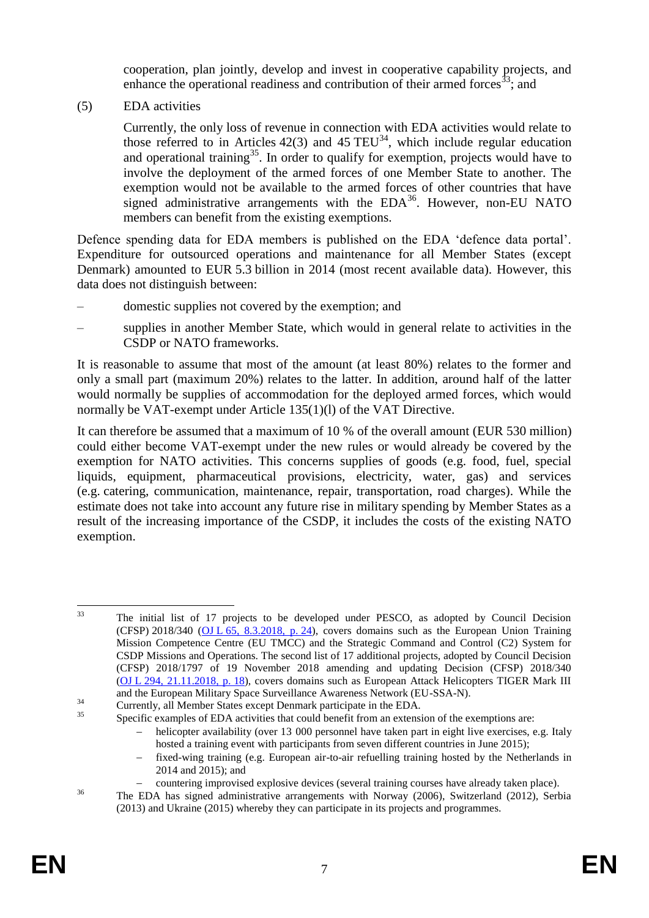cooperation, plan jointly, develop and invest in cooperative capability projects, and enhance the operational readiness and contribution of their armed forces<sup>33</sup>; and

(5) EDA activities

Currently, the only loss of revenue in connection with EDA activities would relate to those referred to in Articles  $42(3)$  and  $45 \text{ TEU}^{34}$ , which include regular education and operational training<sup>35</sup>. In order to qualify for exemption, projects would have to involve the deployment of the armed forces of one Member State to another. The exemption would not be available to the armed forces of other countries that have signed administrative arrangements with the  $EDA<sup>36</sup>$ . However, non-EU NATO members can benefit from the existing exemptions.

Defence spending data for EDA members is published on the EDA 'defence data portal'. Expenditure for outsourced operations and maintenance for all Member States (except Denmark) amounted to EUR 5.3 billion in 2014 (most recent available data). However, this data does not distinguish between:

- domestic supplies not covered by the exemption; and
- supplies in another Member State, which would in general relate to activities in the CSDP or NATO frameworks.

It is reasonable to assume that most of the amount (at least 80%) relates to the former and only a small part (maximum 20%) relates to the latter. In addition, around half of the latter would normally be supplies of accommodation for the deployed armed forces, which would normally be VAT-exempt under Article 135(1)(l) of the VAT Directive.

It can therefore be assumed that a maximum of 10 % of the overall amount (EUR 530 million) could either become VAT-exempt under the new rules or would already be covered by the exemption for NATO activities. This concerns supplies of goods (e.g. food, fuel, special liquids, equipment, pharmaceutical provisions, electricity, water, gas) and services (e.g. catering, communication, maintenance, repair, transportation, road charges). While the estimate does not take into account any future rise in military spending by Member States as a result of the increasing importance of the CSDP, it includes the costs of the existing NATO exemption.

 $\overline{33}$ <sup>33</sup> The initial list of 17 projects to be developed under PESCO, as adopted by Council Decision (CFSP)  $2018/340$  (OJ L [65, 8.3.2018, p.](https://eur-lex.europa.eu/legal-content/GA/TXT/?uri=CELEX:32018D0340) 24), covers domains such as the European Union Training Mission Competence Centre (EU TMCC) and the Strategic Command and Control (C2) System for CSDP Missions and Operations. The second list of 17 additional projects, adopted by Council Decision (CFSP) 2018/1797 of 19 November 2018 amending and updating Decision (CFSP) 2018/340 (OJ L [294, 21.11.2018, p.](https://eur-lex.europa.eu/legal-content/EN/TXT/?uri=CELEX:32018D1797) 18), covers domains such as European Attack Helicopters TIGER Mark III and the European Military Space Surveillance Awareness Network (EU-SSA-N).

<sup>&</sup>lt;sup>34</sup> Currently, all Member States except Denmark participate in the EDA.

Specific examples of EDA activities that could benefit from an extension of the exemptions are:

helicopter availability (over 13 000 personnel have taken part in eight live exercises, e.g. Italy hosted a training event with participants from seven different countries in June 2015);

fixed-wing training (e.g. European air-to-air refuelling training hosted by the Netherlands in 2014 and 2015); and

countering improvised explosive devices (several training courses have already taken place).

<sup>&</sup>lt;sup>36</sup> The EDA has signed administrative arrangements with Norway (2006), Switzerland (2012), Serbia (2013) and Ukraine (2015) whereby they can participate in its projects and programmes.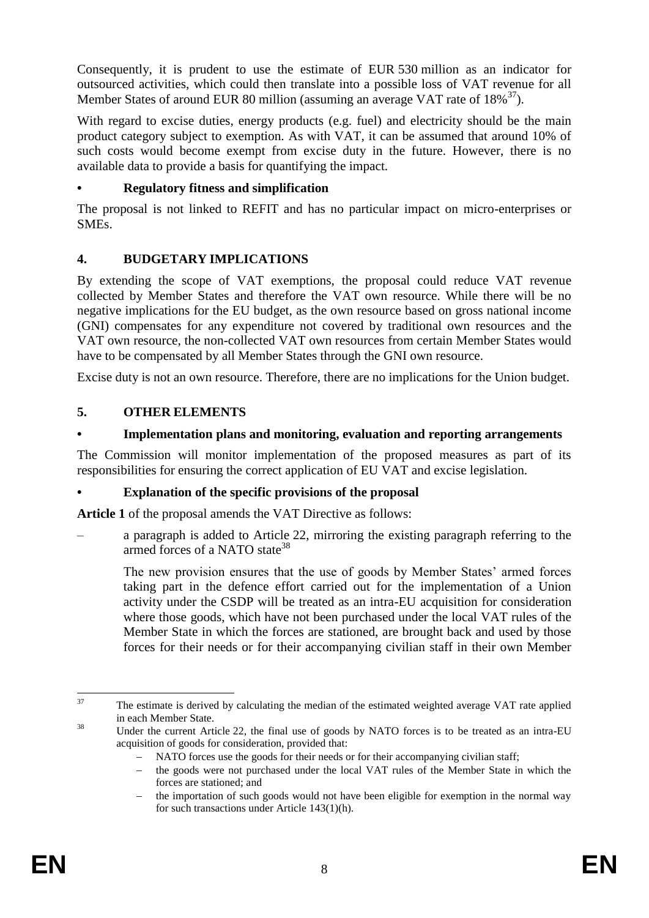Consequently, it is prudent to use the estimate of EUR 530 million as an indicator for outsourced activities, which could then translate into a possible loss of VAT revenue for all Member States of around EUR 80 million (assuming an average VAT rate of  $18\%^{37}$ ).

With regard to excise duties, energy products (e.g. fuel) and electricity should be the main product category subject to exemption. As with VAT, it can be assumed that around 10% of such costs would become exempt from excise duty in the future. However, there is no available data to provide a basis for quantifying the impact.

### **• Regulatory fitness and simplification**

The proposal is not linked to REFIT and has no particular impact on micro-enterprises or SMEs.

## **4. BUDGETARY IMPLICATIONS**

By extending the scope of VAT exemptions, the proposal could reduce VAT revenue collected by Member States and therefore the VAT own resource. While there will be no negative implications for the EU budget, as the own resource based on gross national income (GNI) compensates for any expenditure not covered by traditional own resources and the VAT own resource, the non-collected VAT own resources from certain Member States would have to be compensated by all Member States through the GNI own resource.

Excise duty is not an own resource. Therefore, there are no implications for the Union budget.

## **5. OTHER ELEMENTS**

## **• Implementation plans and monitoring, evaluation and reporting arrangements**

The Commission will monitor implementation of the proposed measures as part of its responsibilities for ensuring the correct application of EU VAT and excise legislation.

## **• Explanation of the specific provisions of the proposal**

**Article 1** of the proposal amends the VAT Directive as follows:

– a paragraph is added to Article 22, mirroring the existing paragraph referring to the armed forces of a NATO state<sup>38</sup>

The new provision ensures that the use of goods by Member States' armed forces taking part in the defence effort carried out for the implementation of a Union activity under the CSDP will be treated as an intra-EU acquisition for consideration where those goods, which have not been purchased under the local VAT rules of the Member State in which the forces are stationed, are brought back and used by those forces for their needs or for their accompanying civilian staff in their own Member

 $37$ The estimate is derived by calculating the median of the estimated weighted average VAT rate applied in each Member State.

<sup>&</sup>lt;sup>38</sup> Under the current Article 22, the final use of goods by NATO forces is to be treated as an intra-EU acquisition of goods for consideration, provided that:

<sup>-</sup> NATO forces use the goods for their needs or for their accompanying civilian staff;

<sup>-</sup> the goods were not purchased under the local VAT rules of the Member State in which the forces are stationed; and

 $\theta$  the importation of such goods would not have been eligible for exemption in the normal way for such transactions under Article 143(1)(h).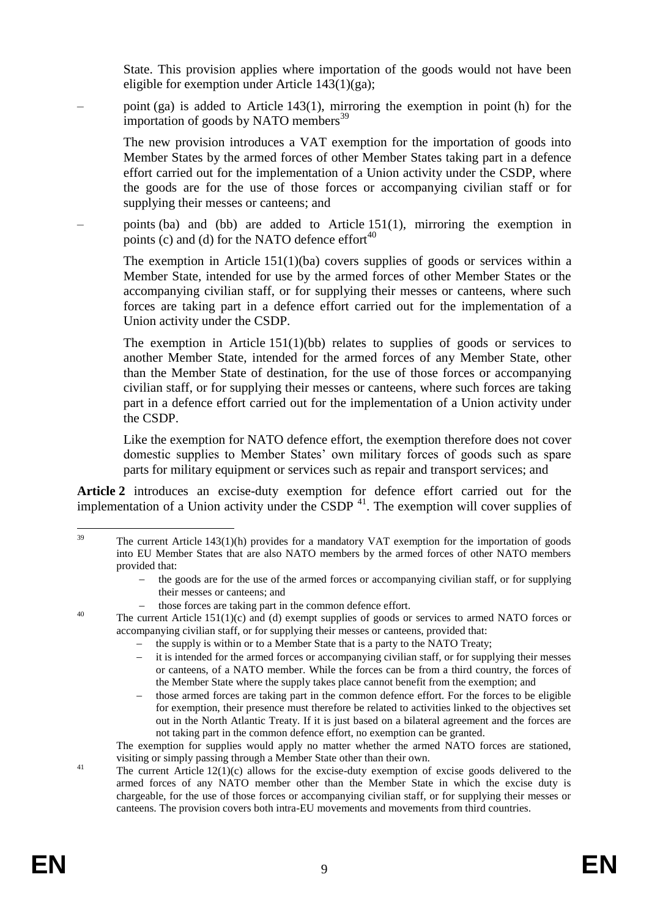State. This provision applies where importation of the goods would not have been eligible for exemption under Article 143(1)(ga);

– point (ga) is added to Article 143(1), mirroring the exemption in point (h) for the importation of goods by NATO members<sup>39</sup>

The new provision introduces a VAT exemption for the importation of goods into Member States by the armed forces of other Member States taking part in a defence effort carried out for the implementation of a Union activity under the CSDP, where the goods are for the use of those forces or accompanying civilian staff or for supplying their messes or canteens; and

– points (ba) and (bb) are added to Article 151(1), mirroring the exemption in points (c) and (d) for the NATO defence effort $40$ 

The exemption in Article 151(1)(ba) covers supplies of goods or services within a Member State, intended for use by the armed forces of other Member States or the accompanying civilian staff, or for supplying their messes or canteens, where such forces are taking part in a defence effort carried out for the implementation of a Union activity under the CSDP.

The exemption in Article  $151(1)(bb)$  relates to supplies of goods or services to another Member State, intended for the armed forces of any Member State, other than the Member State of destination, for the use of those forces or accompanying civilian staff, or for supplying their messes or canteens, where such forces are taking part in a defence effort carried out for the implementation of a Union activity under the CSDP.

Like the exemption for NATO defence effort, the exemption therefore does not cover domestic supplies to Member States' own military forces of goods such as spare parts for military equipment or services such as repair and transport services; and

**Article 2** introduces an excise-duty exemption for defence effort carried out for the implementation of a Union activity under the CSDP  $41$ . The exemption will cover supplies of

those forces are taking part in the common defence effort.

- the supply is within or to a Member State that is a party to the NATO Treaty;
- it is intended for the armed forces or accompanying civilian staff, or for supplying their messes or canteens, of a NATO member. While the forces can be from a third country, the forces of the Member State where the supply takes place cannot benefit from the exemption; and
- those armed forces are taking part in the common defence effort. For the forces to be eligible for exemption, their presence must therefore be related to activities linked to the objectives set out in the North Atlantic Treaty. If it is just based on a bilateral agreement and the forces are not taking part in the common defence effort, no exemption can be granted.

The exemption for supplies would apply no matter whether the armed NATO forces are stationed, visiting or simply passing through a Member State other than their own.

<sup>41</sup> The current Article 12(1)(c) allows for the excise-duty exemption of excise goods delivered to the armed forces of any NATO member other than the Member State in which the excise duty is chargeable, for the use of those forces or accompanying civilian staff, or for supplying their messes or canteens. The provision covers both intra-EU movements and movements from third countries.

 $30^{\circ}$ The current Article  $143(1)(h)$  provides for a mandatory VAT exemption for the importation of goods into EU Member States that are also NATO members by the armed forces of other NATO members provided that:

the goods are for the use of the armed forces or accompanying civilian staff, or for supplying their messes or canteens; and

<sup>&</sup>lt;sup>40</sup> The current Article 151(1)(c) and (d) exempt supplies of goods or services to armed NATO forces or accompanying civilian staff, or for supplying their messes or canteens, provided that: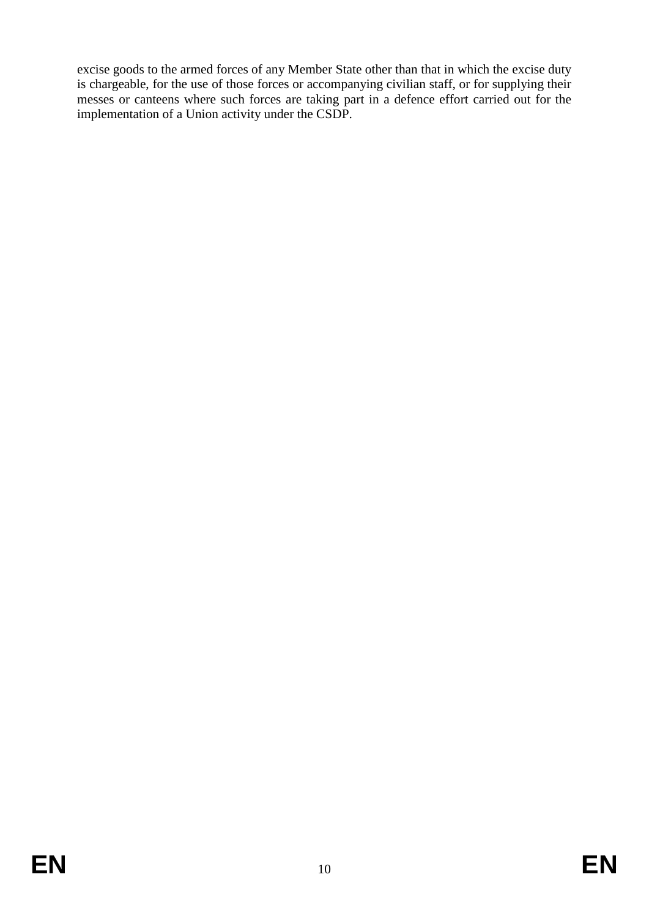excise goods to the armed forces of any Member State other than that in which the excise duty is chargeable, for the use of those forces or accompanying civilian staff, or for supplying their messes or canteens where such forces are taking part in a defence effort carried out for the implementation of a Union activity under the CSDP.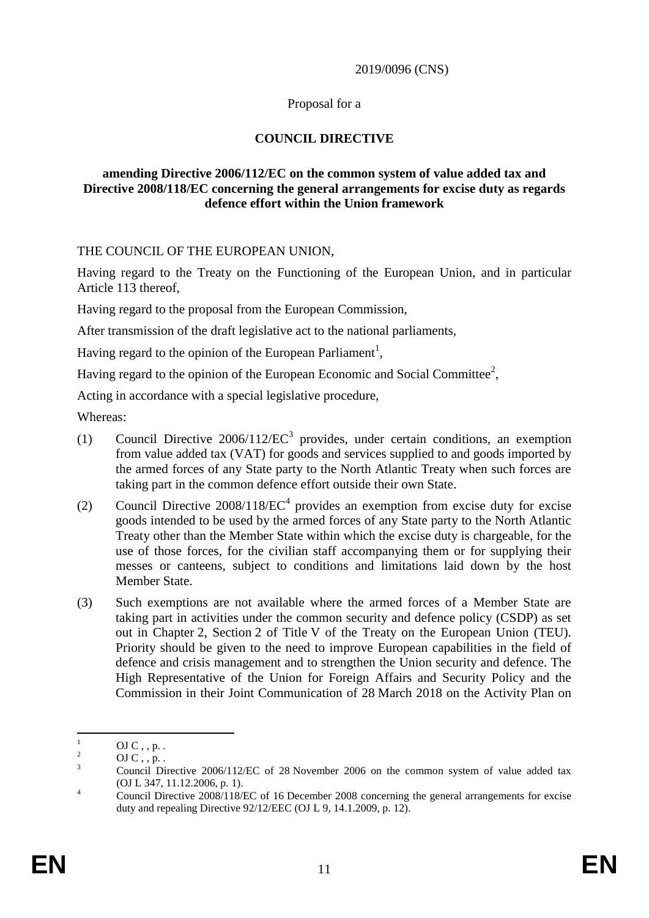#### 2019/0096 (CNS)

### Proposal for a

### **COUNCIL DIRECTIVE**

### **amending Directive 2006/112/EC on the common system of value added tax and Directive 2008/118/EC concerning the general arrangements for excise duty as regards defence effort within the Union framework**

### THE COUNCIL OF THE EUROPEAN UNION,

Having regard to the Treaty on the Functioning of the European Union, and in particular Article 113 thereof,

Having regard to the proposal from the European Commission,

After transmission of the draft legislative act to the national parliaments,

Having regard to the opinion of the European Parliament<sup>1</sup>,

Having regard to the opinion of the European Economic and Social Committee<sup>2</sup>,

Acting in accordance with a special legislative procedure,

Whereas:

- (1) Council Directive  $2006/112/EC^3$  provides, under certain conditions, an exemption from value added tax (VAT) for goods and services supplied to and goods imported by the armed forces of any State party to the North Atlantic Treaty when such forces are taking part in the common defence effort outside their own State.
- (2) Council Directive  $2008/118$ / $EC^4$  provides an exemption from excise duty for excise goods intended to be used by the armed forces of any State party to the North Atlantic Treaty other than the Member State within which the excise duty is chargeable, for the use of those forces, for the civilian staff accompanying them or for supplying their messes or canteens, subject to conditions and limitations laid down by the host Member State.
- (3) Such exemptions are not available where the armed forces of a Member State are taking part in activities under the common security and defence policy (CSDP) as set out in Chapter 2, Section 2 of Title V of the Treaty on the European Union (TEU). Priority should be given to the need to improve European capabilities in the field of defence and crisis management and to strengthen the Union security and defence. The High Representative of the Union for Foreign Affairs and Security Policy and the Commission in their Joint Communication of 28 March 2018 on the Activity Plan on

 $\mathbf{1}$  $\frac{1}{2}$  OJ C, , p. .

 $\frac{2}{3}$  OJ C, , p. .

<sup>3</sup> Council Directive 2006/112/EC of 28 November 2006 on the common system of value added tax (OJ L 347, 11.12.2006, p. 1).

<sup>&</sup>lt;sup>4</sup> Council Directive 2008/118/EC of 16 December 2008 concerning the general arrangements for excise duty and repealing Directive 92/12/EEC (OJ L 9, 14.1.2009, p. 12).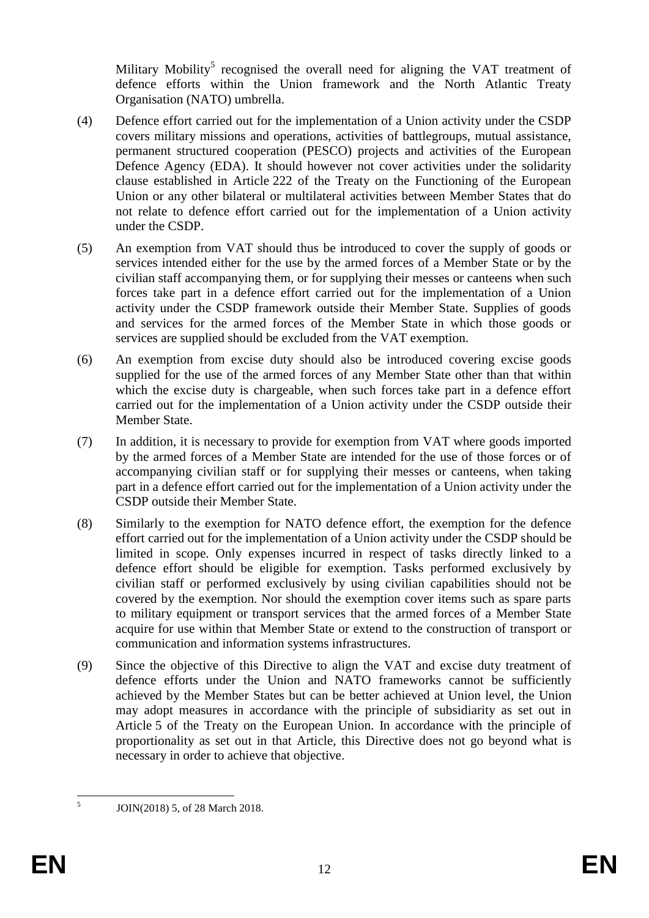Military Mobility<sup>5</sup> recognised the overall need for aligning the VAT treatment of defence efforts within the Union framework and the North Atlantic Treaty Organisation (NATO) umbrella.

- (4) Defence effort carried out for the implementation of a Union activity under the CSDP covers military missions and operations, activities of battlegroups, mutual assistance, permanent structured cooperation (PESCO) projects and activities of the European Defence Agency (EDA). It should however not cover activities under the solidarity clause established in Article 222 of the Treaty on the Functioning of the European Union or any other bilateral or multilateral activities between Member States that do not relate to defence effort carried out for the implementation of a Union activity under the CSDP.
- (5) An exemption from VAT should thus be introduced to cover the supply of goods or services intended either for the use by the armed forces of a Member State or by the civilian staff accompanying them, or for supplying their messes or canteens when such forces take part in a defence effort carried out for the implementation of a Union activity under the CSDP framework outside their Member State. Supplies of goods and services for the armed forces of the Member State in which those goods or services are supplied should be excluded from the VAT exemption.
- (6) An exemption from excise duty should also be introduced covering excise goods supplied for the use of the armed forces of any Member State other than that within which the excise duty is chargeable, when such forces take part in a defence effort carried out for the implementation of a Union activity under the CSDP outside their Member State.
- (7) In addition, it is necessary to provide for exemption from VAT where goods imported by the armed forces of a Member State are intended for the use of those forces or of accompanying civilian staff or for supplying their messes or canteens, when taking part in a defence effort carried out for the implementation of a Union activity under the CSDP outside their Member State.
- (8) Similarly to the exemption for NATO defence effort, the exemption for the defence effort carried out for the implementation of a Union activity under the CSDP should be limited in scope. Only expenses incurred in respect of tasks directly linked to a defence effort should be eligible for exemption. Tasks performed exclusively by civilian staff or performed exclusively by using civilian capabilities should not be covered by the exemption. Nor should the exemption cover items such as spare parts to military equipment or transport services that the armed forces of a Member State acquire for use within that Member State or extend to the construction of transport or communication and information systems infrastructures.
- (9) Since the objective of this Directive to align the VAT and excise duty treatment of defence efforts under the Union and NATO frameworks cannot be sufficiently achieved by the Member States but can be better achieved at Union level, the Union may adopt measures in accordance with the principle of subsidiarity as set out in Article 5 of the Treaty on the European Union. In accordance with the principle of proportionality as set out in that Article, this Directive does not go beyond what is necessary in order to achieve that objective.

 $\frac{1}{5}$ 

JOIN(2018) 5, of 28 March 2018.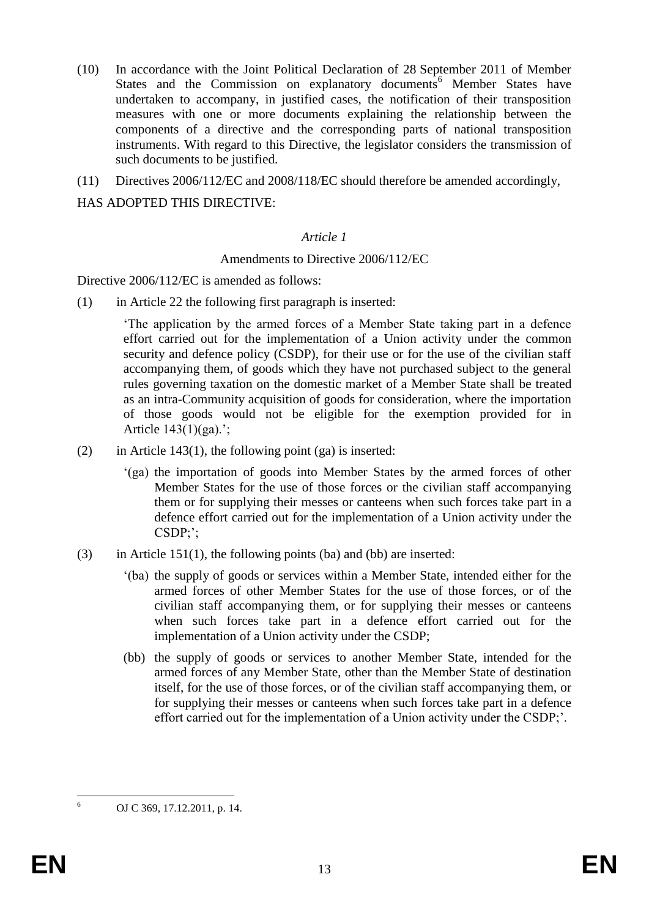- (10) In accordance with the Joint Political Declaration of 28 September 2011 of Member States and the Commission on explanatory documents<sup>6</sup> Member States have undertaken to accompany, in justified cases, the notification of their transposition measures with one or more documents explaining the relationship between the components of a directive and the corresponding parts of national transposition instruments. With regard to this Directive, the legislator considers the transmission of such documents to be justified.
- (11) Directives 2006/112/EC and 2008/118/EC should therefore be amended accordingly,

### HAS ADOPTED THIS DIRECTIVE:

### *Article 1*

### Amendments to Directive 2006/112/EC

Directive 2006/112/EC is amended as follows:

(1) in Article 22 the following first paragraph is inserted:

'The application by the armed forces of a Member State taking part in a defence effort carried out for the implementation of a Union activity under the common security and defence policy (CSDP), for their use or for the use of the civilian staff accompanying them, of goods which they have not purchased subject to the general rules governing taxation on the domestic market of a Member State shall be treated as an intra-Community acquisition of goods for consideration, where the importation of those goods would not be eligible for the exemption provided for in Article 143(1)(ga).';

- (2) in Article 143(1), the following point (ga) is inserted:
	- '(ga) the importation of goods into Member States by the armed forces of other Member States for the use of those forces or the civilian staff accompanying them or for supplying their messes or canteens when such forces take part in a defence effort carried out for the implementation of a Union activity under the CSDP;';
- (3) in Article 151(1), the following points (ba) and (bb) are inserted:
	- '(ba) the supply of goods or services within a Member State, intended either for the armed forces of other Member States for the use of those forces, or of the civilian staff accompanying them, or for supplying their messes or canteens when such forces take part in a defence effort carried out for the implementation of a Union activity under the CSDP;
	- (bb) the supply of goods or services to another Member State, intended for the armed forces of any Member State, other than the Member State of destination itself, for the use of those forces, or of the civilian staff accompanying them, or for supplying their messes or canteens when such forces take part in a defence effort carried out for the implementation of a Union activity under the CSDP;'.

1

<sup>6</sup> OJ C 369, 17.12.2011, p. 14.